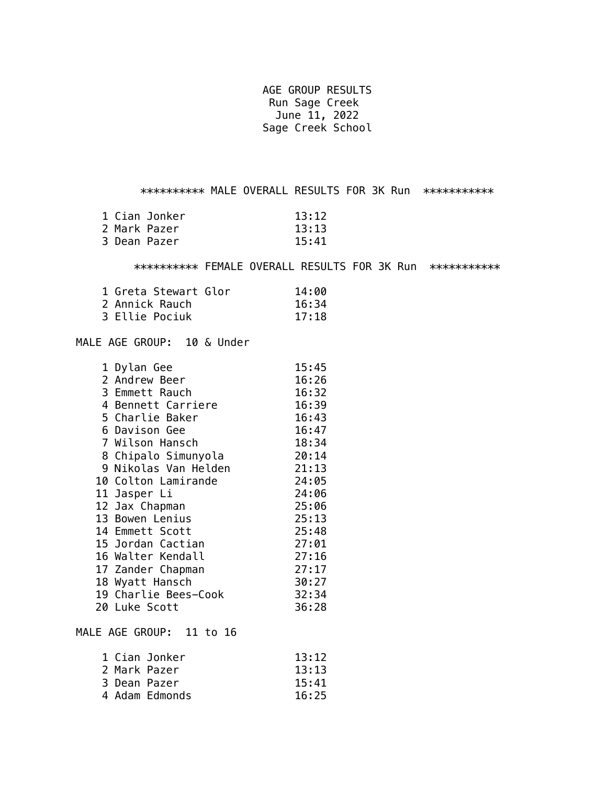AGE GROUP RESULTS Run Sage Creek June 11, 2022 Sage Creek School

\*\*\*\*\*\*\*\*\*\* MALE OVERALL RESULTS FOR 3K Run \*\*\*\*\*\*\*\*\*\*\*

|              | 1 Cian Jonker | 13:12 |
|--------------|---------------|-------|
| 2 Mark Pazer |               | 13:13 |
| 3 Dean Pazer |               | 15:41 |

\*\*\*\*\*\*\*\*\*\*\* FEMALE OVERALL RESULTS FOR 3K Run \*\*\*\*\*\*\*\*\*\*\*\*

| 1 Greta Stewart Glor | 14:00 |
|----------------------|-------|
| 2 Annick Rauch       | 16:34 |
| 3 Ellie Pociuk       | 17:18 |

MALE AGE GROUP: 10 & Under

| 1 Dylan Gee          | 15:45 |
|----------------------|-------|
| 2 Andrew Beer        | 16:26 |
| 3 Emmett Rauch       | 16:32 |
| 4 Bennett Carriere   | 16:39 |
| 5 Charlie Baker      | 16:43 |
| 6 Davison Gee        | 16:47 |
| 7 Wilson Hansch      | 18:34 |
| 8 Chipalo Simunyola  | 20:14 |
| 9 Nikolas Van Helden | 21:13 |
| 10 Colton Lamirande  | 24:05 |
| 11 Jasper Li         | 24:06 |
| 12 Jax Chapman       | 25:06 |
| 13 Bowen Lenius      | 25:13 |
| 14 Emmett Scott      | 25:48 |
| 15 Jordan Cactian    | 27:01 |
| 16 Walter Kendall    | 27:16 |
| 17 Zander Chapman    | 27:17 |
| 18 Wyatt Hansch      | 30:27 |
| 19 Charlie Bees-Cook | 32:34 |
| 20 Luke Scott        | 36:28 |
|                      |       |

MALE AGE GROUP: 11 to 16

| 1 Cian Jonker  | 13:12 |
|----------------|-------|
| 2 Mark Pazer   | 13:13 |
| 3 Dean Pazer   | 15:41 |
| 4 Adam Edmonds | 16:25 |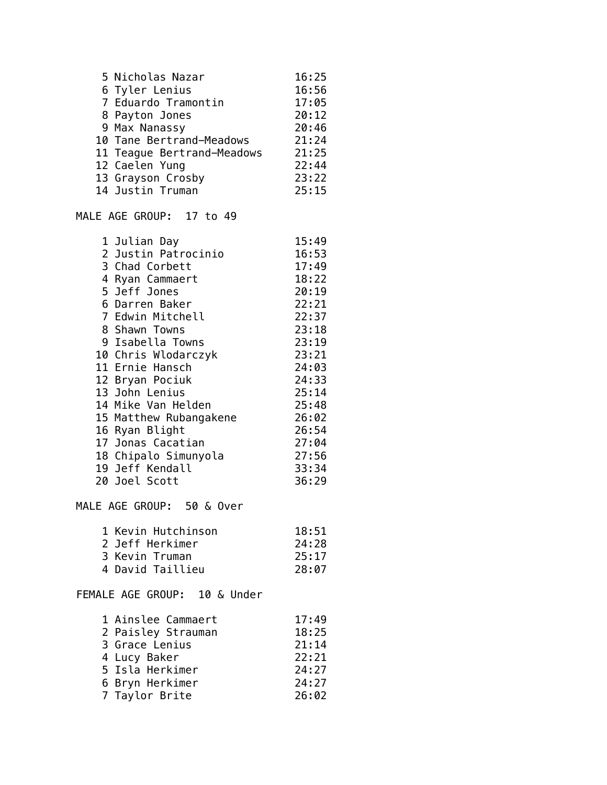| 5 Nicholas Nazar           | 16:25 |
|----------------------------|-------|
| 6 Tyler Lenius             | 16:56 |
| 7 Eduardo Tramontin        | 17:05 |
| 8 Payton Jones             | 20:12 |
| 9 Max Nanassy              | 20:46 |
| 10 Tane Bertrand-Meadows   | 21:24 |
| 11 Teague Bertrand-Meadows | 21:25 |
| 12 Caelen Yung             | 22:44 |
| 13 Grayson Crosby          | 23:22 |
| 14 Justin Truman           | 25:15 |

MALE AGE GROUP: 17 to 49

| 1 Julian Day         | 15:49                  |
|----------------------|------------------------|
| 2 Justin Patrocinio  | 16:53                  |
| 3 Chad Corbett       | 17:49                  |
| 4 Ryan Cammaert      | 18:22                  |
| 5 Jeff Jones         | 20:19                  |
| 6 Darren Baker       | 22:21                  |
| 7 Edwin Mitchell     | 22:37                  |
| 8 Shawn Towns        | 23:18                  |
| 9 Isabella Towns     | 23:19                  |
| 10 Chris Wlodarczyk  | 23:21                  |
| 11 Ernie Hansch      | 24:03                  |
| 12 Bryan Pociuk      | 24:33                  |
| 13 John Lenius       | 25:14                  |
| 14 Mike Van Helden   | 25:48                  |
|                      | 26:02                  |
| 16 Ryan Blight       | 26:54                  |
| 17 Jonas Cacatian    | 27:04                  |
| 18 Chipalo Simunyola | 27:56                  |
| 19 Jeff Kendall      | 33:34                  |
| 20 Joel Scott        | 36:29                  |
|                      | 15 Matthew Rubangakene |

MALE AGE GROUP: 50 & Over

| 1 Kevin Hutchinson | 18:51 |
|--------------------|-------|
| 2 Jeff Herkimer    | 24:28 |
| 3 Kevin Truman     | 25:17 |
| 4 David Taillieu   | 28:07 |

FEMALE AGE GROUP: 10 & Under

| 1 Ainslee Cammaert | 17:49 |
|--------------------|-------|
| 2 Paisley Strauman | 18:25 |
| 3 Grace Lenius     | 21:14 |
| 4 Lucy Baker       | 22:21 |
| 5 Isla Herkimer    | 24:27 |
| 6 Bryn Herkimer    | 24:27 |
| 7 Taylor Brite     | 26:02 |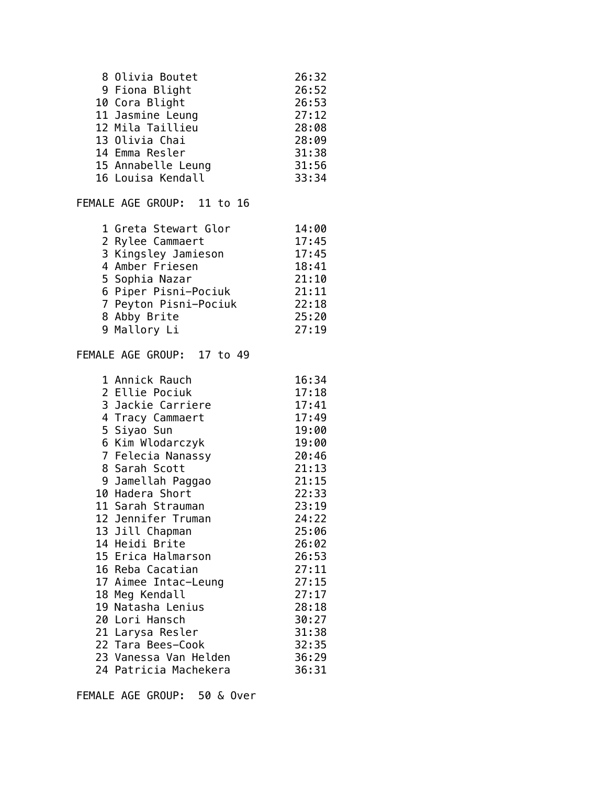| 8 Olivia Boutet    | 26:32 |
|--------------------|-------|
| 9 Fiona Blight     | 26:52 |
| 10 Cora Blight     | 26:53 |
| 11 Jasmine Leung   | 27:12 |
| 12 Mila Taillieu   | 28:08 |
| 13 Olivia Chai     | 28:09 |
| 14 Emma Resler     | 31:38 |
| 15 Annabelle Leung | 31:56 |
| 16 Louisa Kendall  | 33:34 |

## FEMALE AGE GROUP: 11 to 16

| 1 Greta Stewart Glor  | 14:00 |
|-----------------------|-------|
| 2 Rylee Cammaert      | 17:45 |
| 3 Kingsley Jamieson   | 17:45 |
| 4 Amber Friesen       | 18:41 |
| 5 Sophia Nazar        | 21:10 |
| 6 Piper Pisni-Pociuk  | 21:11 |
| 7 Peyton Pisni-Pociuk | 22:18 |
| 8 Abby Brite          | 25:20 |
| 9 Mallory Li          | 27:19 |
|                       |       |

## FEMALE AGE GROUP: 17 to 49

| 1 Annick Rauch        | 16:34                                                                                                                |
|-----------------------|----------------------------------------------------------------------------------------------------------------------|
| 2 Ellie Pociuk        | 17:18                                                                                                                |
| 3 Jackie Carriere     | 17:41                                                                                                                |
| 4 Tracy Cammaert      | 17:49                                                                                                                |
|                       | 19:00                                                                                                                |
|                       | 19:00                                                                                                                |
|                       | 20:46                                                                                                                |
| 8 Sarah Scott         | 21:13                                                                                                                |
|                       | 21:15                                                                                                                |
| 10 Hadera Short       | 22:33                                                                                                                |
| 11 Sarah Strauman     | 23:19                                                                                                                |
| 12 Jennifer Truman    | 24:22                                                                                                                |
|                       | 25:06                                                                                                                |
| 14 Heidi Brite        | 26:02                                                                                                                |
| 15 Erica Halmarson    | 26:53                                                                                                                |
| 16 Reba Cacatian      | 27:11                                                                                                                |
|                       | 27:15                                                                                                                |
| 18 Meg Kendall        | 27:17                                                                                                                |
| 19 Natasha Lenius     | 28:18                                                                                                                |
| 20 Lori Hansch        | 30:27                                                                                                                |
| 21 Larysa Resler      | 31:38                                                                                                                |
| 22 Tara Bees-Cook     | 32:35                                                                                                                |
| 23 Vanessa Van Helden | 36:29                                                                                                                |
| 24 Patricia Machekera | 36:31                                                                                                                |
|                       | 5 Siyao Sun<br>6 Kim Wlodarczyk<br>7 Felecia Nanassy<br>9 Jamellah Paggao<br>13 Jill Chapman<br>17 Aimee Intac-Leung |

FEMALE AGE GROUP: 50 & Over